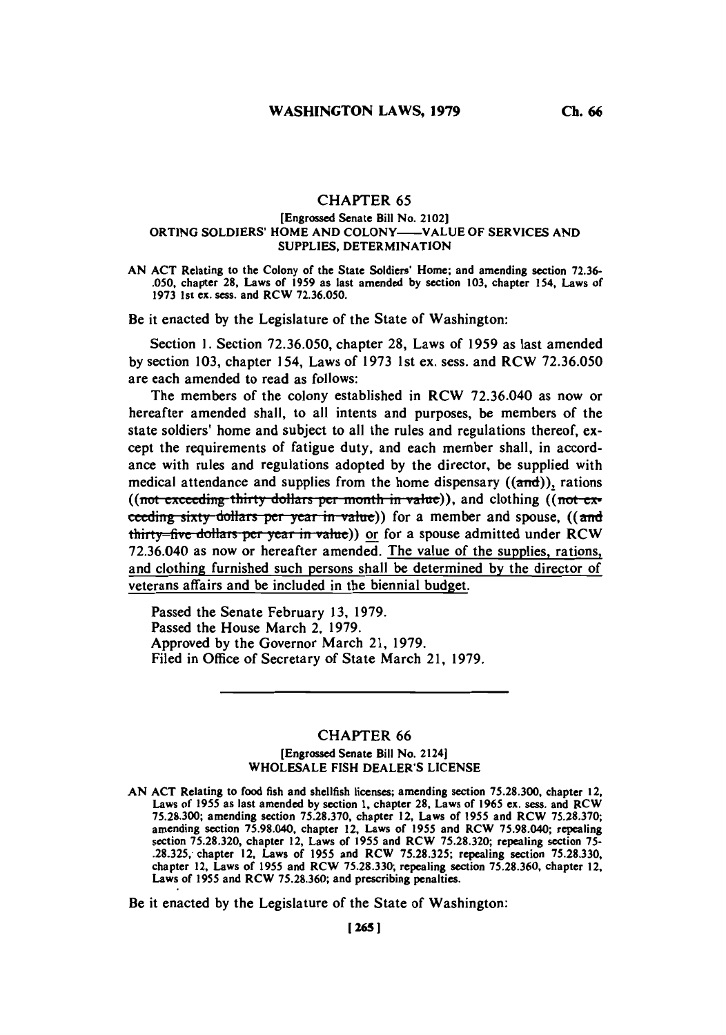## **CHAPTER 65**

### [Engrossed Senate Bill No. 2102] ORTING SOLDIERS' HOME **AND COLONY-VALUE** OF SERVICES **AND** SUPPLIES, DETERMINATION

**AN ACT** Relating to the Colony of the State Soldiers' Home; and amending section **72.36- .050,** chapter **28,** Laws of **1959** as last amended **by** section **103,** chapter 154, Laws of **1973** 1st ex. sess. and RCW **72.36.050.**

Be it enacted **by** the Legislature of the State of Washington:

Section **1.** Section **72.36.050,** chapter **28,** Laws of **1959** as last amended **by** section **103,** chapter 154, Laws of **1973** 1st ex. sess. and RCW **72.36.050** are each amended to read as follows:

The members of the colony established in RCW **72.36.040** as now or hereafter amended shall, to all intents and purposes, be members of the state soldiers' home and subject to all the rules and regulations thereof, except the requirements of fatigue duty, and each member shall, in accordance with rules and regulations adopted **by** the director, be supplied with medical attendance and supplies from the home dispensary  $((\text{and}))$ , rations ((not exceeding thirty dollars per month in value)), and clothing ((not exceeding sixty dollars per year in value)) for a member and spouse, ((and thirty-five dollars per year in value)) or for a spouse admitted under RCW **72.36.040** as now or hereafter amended. The value of the supplies, rations, and clothing furnished such persons shall be determined **by** the director of veterans affairs and be included in the biennial budget.

Passed the Senate February **13, 1979.** Passed the House March 2, **1979.** Approved **by** the Governor March 21, **1979.** Filed in Office of Secretary of State March 21, **1979.**

### **CHAPTER 66**

# [Engrossed Senate Bill No. 2124] **WHOLESALE FISH** DEALER'S **LICENSE**

**AN ACT** Relating to food fish and shellfish licenses; amending section **75.28.300,** chapter 12, Laws of **1955** as last amended **by** section **1,** chapter **28,** Laws of **1965** ex. sess. and RCW **75.28.300;** amending section **75.28.370,** chapter 12, Laws of **1955** and RCW **75.28.370;** amending section **75.98.040,** chapter 12, Laws of **1955** and RCW **75.98.040;** repealing section **75.28.320,** chapter 12, Laws of **1955** and RCW **75.28.320;** repealing section **75- .28.325,** chapter 12, Laws of **1955** and RCW **75.28.325;** repealing section **75.28.330,** chapter 12, Laws of **1955** and RCW **75.28.330;** repealing section **75.28.360,** chapter 12, Laws of **1955** and RCW **75.28.360;** and prescribing penalties.

Be it enacted **by** the Legislature of the State of Washington: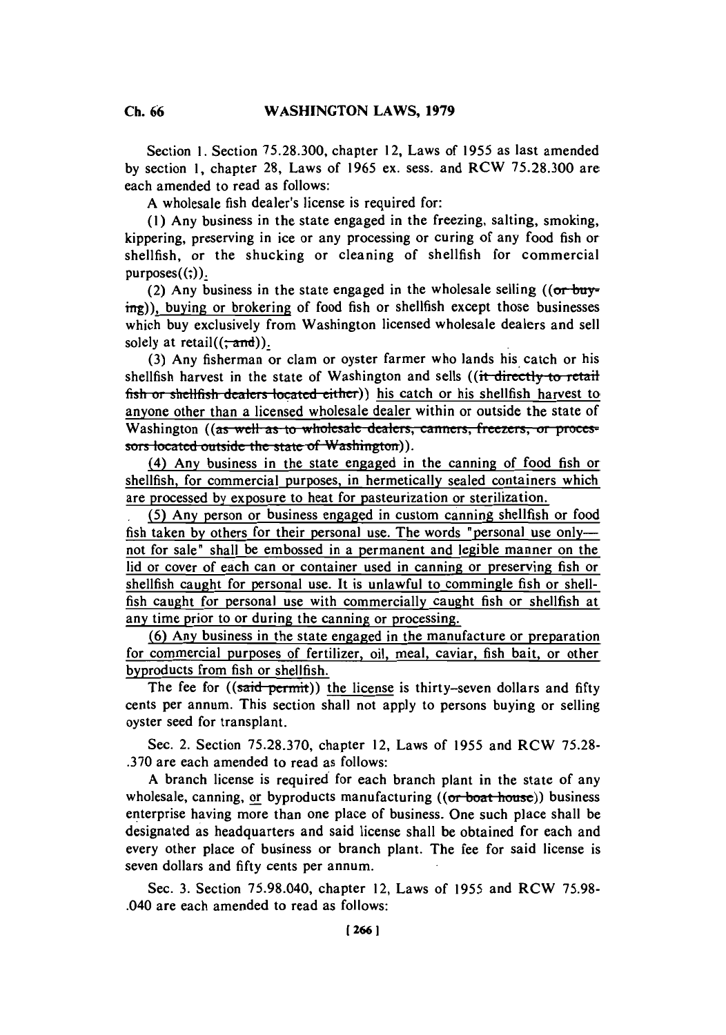Section **1.** Section **75.28.300,** chapter 12, Laws of **1955** as last amended **by** section **1,** chapter **28,** Laws of **1965** ex. sess. and RCW **75.28.300** are each amended to read as follows:

**A** wholesale fish dealer's license is required for:

**(1)** Any business in the state engaged in the freezing, salting, smoking, kippering, preserving in ice or any processing or curing of any food fish or shellfish, or the shucking or cleaning of shellfish for commercial  $purposes((;)).$ 

(2) Any business in the state engaged in the wholesale selling  $((or$  buying)), buying or brokering of food fish or shellfish except those businesses which buy exclusively from Washington licensed wholesale dealers and sell solely at retail( $(\frac{1}{2}$ and)).

**(3)** Any fisherman or clam or oyster farmer who lands his, catch or his shellfish harvest in the state of Washington and sells ((it directly to retail fish or shellfish dealers located either)) his catch or his shellfish harvest to anyone other than a licensed wholesale dealer within or outside the state of Washington ((as well as to wholesale dealers, canners, freezers, or processors located outside the state of Washington)).

(4) Any business in the state engaged in the canning of food fish or shellfish, for commercial purposes, in hermetically sealed containers which are processed **by** exposure to heat for pasteurization or sterilization.

**(5)** Any person or business engaged in custom canning shellfish or food fish taken by others for their personal use. The words "personal use only-not for sale' shall be embossed in a permanent and legible manner on the lid or cover of each can or container used in canning or preserving fish or shellfish caught for personal use. It is unlawful to commingle fish or shellfish caught for personal use with commercially caught fish or shellfish at any time prior to or during the canning or processing.

**(6)** Any business in the state engaged in the manufacture or preparation for commercial purposes of fertilizer, oil, meal, caviar, fish bait, or other byproducts from fish or shellfish.

The fee for ((said permit)) the license is thirty-seven dollars and fifty cents per annum. This section shall not apply to persons buying or selling oyster seed for transplant.

Sec. 2. Section **75.28.370,** chapter 12, Laws of **1955** and RCW **75.28- .370** are each amended to read as follows:

**A** branch license is required for each branch plant in the state of any wholesale, canning, or byproducts manufacturing  $((or$  boat-house)) business enterprise having more than one place of business. One such place shall be designated as headquarters and said license shall be obtained for each and every other place of business or branch plant. The fee for said license is seven dollars and **fifty** cents per annum.

Sec. **3.** Section **75.98.040,** chapter 12, Laws of **1955** and RCW **75.98-** .040 are each amended to read as follows:

**Ch. 66**